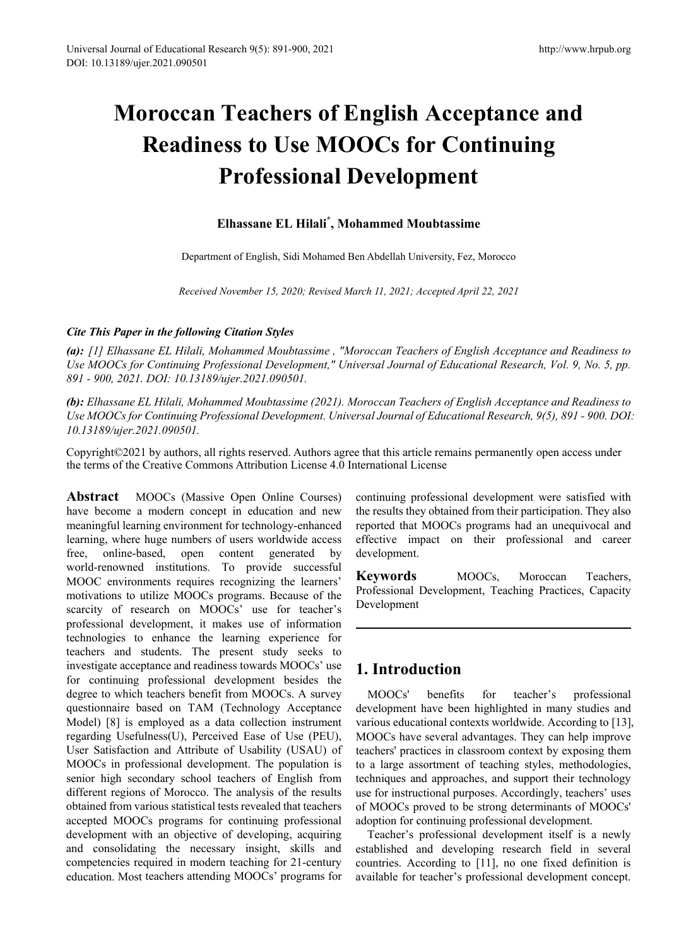# **Moroccan Teachers of English Acceptance and Readiness to Use MOOCs for Continuing Professional Development**

## **Elhassane EL Hilali\* , Mohammed Moubtassime**

Department of English, Sidi Mohamed Ben Abdellah University, Fez, Morocco

*Received November 15, 2020; Revised March 11, 2021; Accepted April 22, 2021*

#### *Cite This Paper in the following Citation Styles*

*(a): [1] Elhassane EL Hilali, Mohammed Moubtassime , "Moroccan Teachers of English Acceptance and Readiness to Use MOOCs for Continuing Professional Development," Universal Journal of Educational Research, Vol. 9, No. 5, pp. 891 - 900, 2021. DOI: 10.13189/ujer.2021.090501.* 

*(b): Elhassane EL Hilali, Mohammed Moubtassime (2021). Moroccan Teachers of English Acceptance and Readiness to Use MOOCs for Continuing Professional Development. Universal Journal of Educational Research, 9(5), 891 - 900. DOI: 10.13189/ujer.2021.090501.* 

Copyright©2021 by authors, all rights reserved. Authors agree that this article remains permanently open access under the terms of the Creative Commons Attribution License 4.0 International License

**Abstract** MOOCs (Massive Open Online Courses) have become a modern concept in education and new meaningful learning environment for technology-enhanced learning, where huge numbers of users worldwide access free, online-based, open content generated by world-renowned institutions. To provide successful MOOC environments requires recognizing the learners' motivations to utilize MOOCs programs. Because of the scarcity of research on MOOCs' use for teacher's professional development, it makes use of information technologies to enhance the learning experience for teachers and students. The present study seeks to investigate acceptance and readiness towards MOOCs' use for continuing professional development besides the degree to which teachers benefit from MOOCs. A survey questionnaire based on TAM (Technology Acceptance Model) [8] is employed as a data collection instrument regarding Usefulness(U), Perceived Ease of Use (PEU), User Satisfaction and Attribute of Usability (USAU) of MOOCs in professional development. The population is senior high secondary school teachers of English from different regions of Morocco. The analysis of the results obtained from various statistical tests revealed that teachers accepted MOOCs programs for continuing professional development with an objective of developing, acquiring and consolidating the necessary insight, skills and competencies required in modern teaching for 21-century education. Most teachers attending MOOCs' programs for

continuing professional development were satisfied with the results they obtained from their participation. They also reported that MOOCs programs had an unequivocal and effective impact on their professional and career development.

**Keywords** MOOCs, Moroccan Teachers, Professional Development, Teaching Practices, Capacity Development

# **1. Introduction**

MOOCs' benefits for teacher's professional development have been highlighted in many studies and various educational contexts worldwide. According to [13], MOOCs have several advantages. They can help improve teachers' practices in classroom context by exposing them to a large assortment of teaching styles, methodologies, techniques and approaches, and support their technology use for instructional purposes. Accordingly, teachers' uses of MOOCs proved to be strong determinants of MOOCs' adoption for continuing professional development.

Teacher's professional development itself is a newly established and developing research field in several countries. According to [11], no one fixed definition is available for teacher's professional development concept.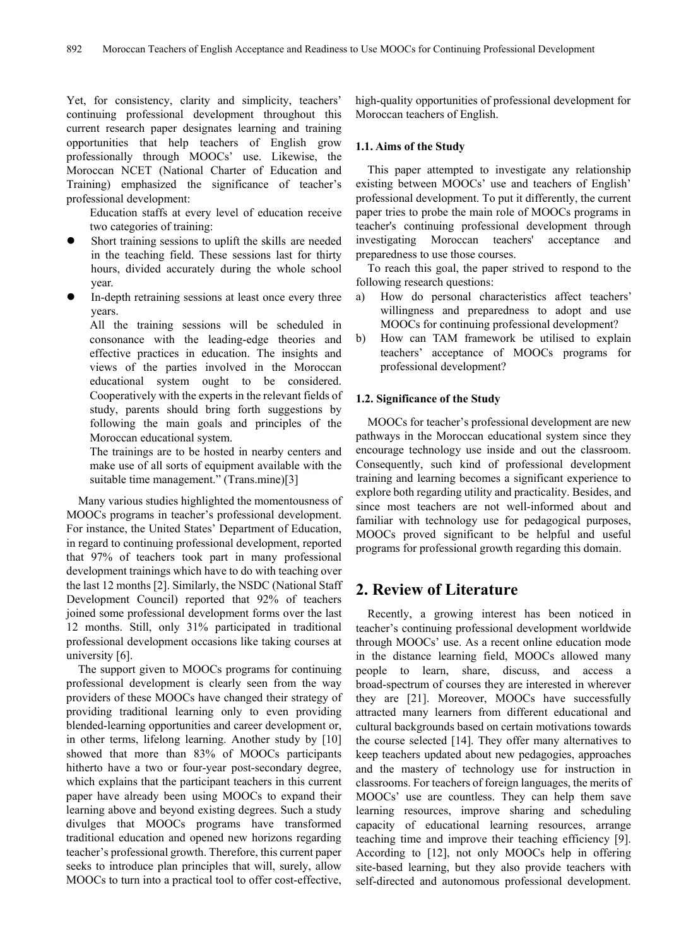Yet, for consistency, clarity and simplicity, teachers' continuing professional development throughout this current research paper designates learning and training opportunities that help teachers of English grow professionally through MOOCs' use. Likewise, the Moroccan NCET (National Charter of Education and Training) emphasized the significance of teacher's professional development:

Education staffs at every level of education receive two categories of training:

- Short training sessions to uplift the skills are needed in the teaching field. These sessions last for thirty hours, divided accurately during the whole school year.
- In-depth retraining sessions at least once every three years.

All the training sessions will be scheduled in consonance with the leading-edge theories and effective practices in education. The insights and views of the parties involved in the Moroccan educational system ought to be considered. Cooperatively with the experts in the relevant fields of study, parents should bring forth suggestions by following the main goals and principles of the Moroccan educational system.

The trainings are to be hosted in nearby centers and make use of all sorts of equipment available with the suitable time management." (Trans.mine)[3]

Many various studies highlighted the momentousness of MOOCs programs in teacher's professional development. For instance, the United States' Department of Education, in regard to continuing professional development, reported that 97% of teachers took part in many professional development trainings which have to do with teaching over the last 12 months [2]. Similarly, the NSDC (National Staff Development Council) reported that 92% of teachers joined some professional development forms over the last 12 months. Still, only 31% participated in traditional professional development occasions like taking courses at university [6].

The support given to MOOCs programs for continuing professional development is clearly seen from the way providers of these MOOCs have changed their strategy of providing traditional learning only to even providing blended-learning opportunities and career development or, in other terms, lifelong learning. Another study by [10] showed that more than 83% of MOOCs participants hitherto have a two or four-year post-secondary degree, which explains that the participant teachers in this current paper have already been using MOOCs to expand their learning above and beyond existing degrees. Such a study divulges that MOOCs programs have transformed traditional education and opened new horizons regarding teacher's professional growth. Therefore, this current paper seeks to introduce plan principles that will, surely, allow MOOCs to turn into a practical tool to offer cost-effective,

high-quality opportunities of professional development for Moroccan teachers of English.

#### **1.1. Aims of the Study**

This paper attempted to investigate any relationship existing between MOOCs' use and teachers of English' professional development. To put it differently, the current paper tries to probe the main role of MOOCs programs in teacher's continuing professional development through investigating Moroccan teachers' acceptance and preparedness to use those courses.

To reach this goal, the paper strived to respond to the following research questions:

- a) How do personal characteristics affect teachers' willingness and preparedness to adopt and use MOOCs for continuing professional development?
- b) How can TAM framework be utilised to explain teachers' acceptance of MOOCs programs for professional development?

#### **1.2. Significance of the Study**

MOOCs for teacher's professional development are new pathways in the Moroccan educational system since they encourage technology use inside and out the classroom. Consequently, such kind of professional development training and learning becomes a significant experience to explore both regarding utility and practicality. Besides, and since most teachers are not well-informed about and familiar with technology use for pedagogical purposes, MOOCs proved significant to be helpful and useful programs for professional growth regarding this domain.

## **2. Review of Literature**

Recently, a growing interest has been noticed in teacher's continuing professional development worldwide through MOOCs' use. As a recent online education mode in the distance learning field, MOOCs allowed many people to learn, share, discuss, and access a broad-spectrum of courses they are interested in wherever they are [21]. Moreover, MOOCs have successfully attracted many learners from different educational and cultural backgrounds based on certain motivations towards the course selected [14]. They offer many alternatives to keep teachers updated about new pedagogies, approaches and the mastery of technology use for instruction in classrooms. For teachers of foreign languages, the merits of MOOCs' use are countless. They can help them save learning resources, improve sharing and scheduling capacity of educational learning resources, arrange teaching time and improve their teaching efficiency [9]. According to [12], not only MOOCs help in offering site-based learning, but they also provide teachers with self-directed and autonomous professional development.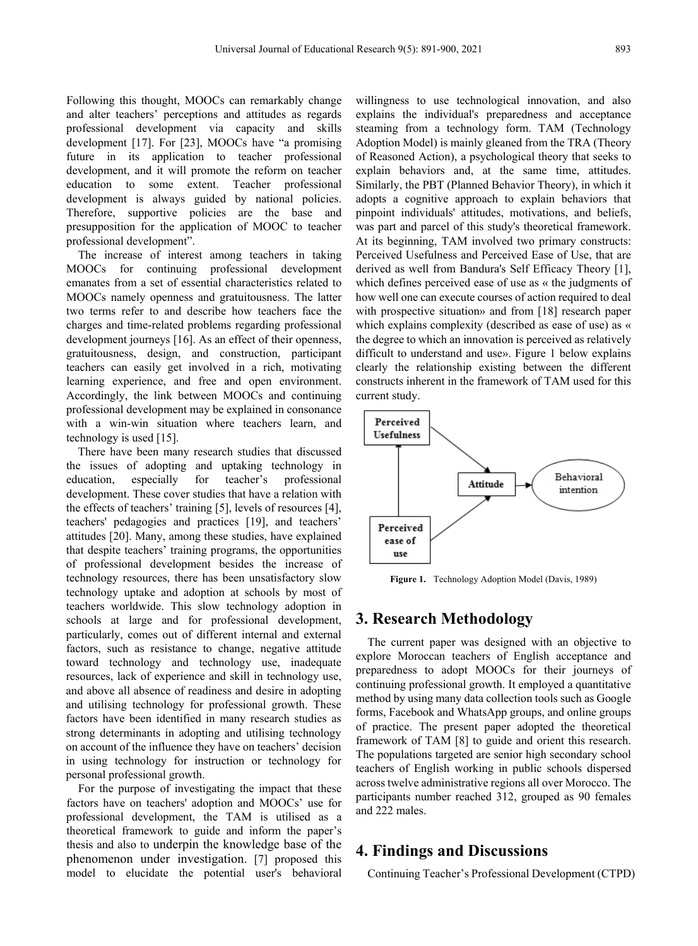Following this thought, MOOCs can remarkably change and alter teachers' perceptions and attitudes as regards professional development via capacity and skills development [17]. For [23], MOOCs have "a promising future in its application to teacher professional development, and it will promote the reform on teacher education to some extent. Teacher professional development is always guided by national policies. Therefore, supportive policies are the base and presupposition for the application of MOOC to teacher professional development".

The increase of interest among teachers in taking MOOCs for continuing professional development emanates from a set of essential characteristics related to MOOCs namely openness and gratuitousness. The latter two terms refer to and describe how teachers face the charges and time-related problems regarding professional development journeys [16]. As an effect of their openness, gratuitousness, design, and construction, participant teachers can easily get involved in a rich, motivating learning experience, and free and open environment. Accordingly, the link between MOOCs and continuing professional development may be explained in consonance with a win-win situation where teachers learn, and technology is used [15].

There have been many research studies that discussed the issues of adopting and uptaking technology in education, especially for teacher's professional development. These cover studies that have a relation with the effects of teachers' training [5], levels of resources [4], teachers' pedagogies and practices [19], and teachers' attitudes [20]. Many, among these studies, have explained that despite teachers' training programs, the opportunities of professional development besides the increase of technology resources, there has been unsatisfactory slow technology uptake and adoption at schools by most of teachers worldwide. This slow technology adoption in schools at large and for professional development, particularly, comes out of different internal and external factors, such as resistance to change, negative attitude toward technology and technology use, inadequate resources, lack of experience and skill in technology use, and above all absence of readiness and desire in adopting and utilising technology for professional growth. These factors have been identified in many research studies as strong determinants in adopting and utilising technology on account of the influence they have on teachers' decision in using technology for instruction or technology for personal professional growth.

For the purpose of investigating the impact that these factors have on teachers' adoption and MOOCs' use for professional development, the TAM is utilised as a theoretical framework to guide and inform the paper's thesis and also to underpin the knowledge base of the phenomenon under investigation. [7] proposed this model to elucidate the potential user's behavioral

willingness to use technological innovation, and also explains the individual's preparedness and acceptance steaming from a technology form. TAM (Technology Adoption Model) is mainly gleaned from the TRA (Theory of Reasoned Action), a psychological theory that seeks to explain behaviors and, at the same time, attitudes. Similarly, the PBT (Planned Behavior Theory), in which it adopts a cognitive approach to explain behaviors that pinpoint individuals' attitudes, motivations, and beliefs, was part and parcel of this study's theoretical framework. At its beginning, TAM involved two primary constructs: Perceived Usefulness and Perceived Ease of Use, that are derived as well from Bandura's Self Efficacy Theory [1], which defines perceived ease of use as « the judgments of how well one can execute courses of action required to deal with prospective situation» and from [18] research paper which explains complexity (described as ease of use) as « the degree to which an innovation is perceived as relatively difficult to understand and use». Figure 1 below explains clearly the relationship existing between the different constructs inherent in the framework of TAM used for this current study.



**Figure 1.** Technology Adoption Model (Davis, 1989)

## **3. Research Methodology**

The current paper was designed with an objective to explore Moroccan teachers of English acceptance and preparedness to adopt MOOCs for their journeys of continuing professional growth. It employed a quantitative method by using many data collection tools such as Google forms, Facebook and WhatsApp groups, and online groups of practice. The present paper adopted the theoretical framework of TAM [8] to guide and orient this research. The populations targeted are senior high secondary school teachers of English working in public schools dispersed across twelve administrative regions all over Morocco. The participants number reached 312, grouped as 90 females and 222 males.

### **4. Findings and Discussions**

Continuing Teacher's Professional Development (CTPD)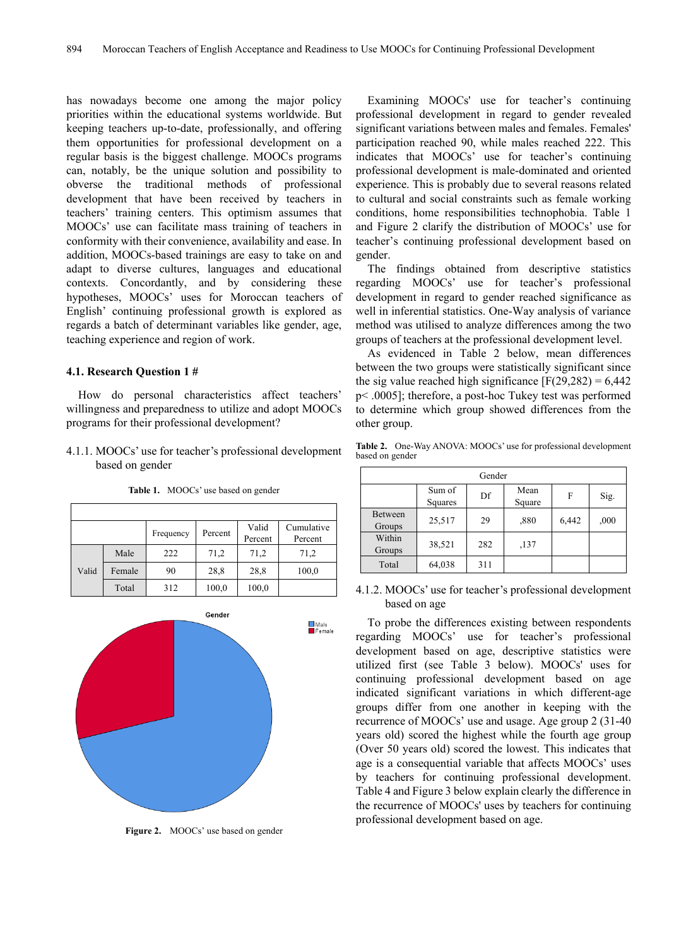has nowadays become one among the major policy priorities within the educational systems worldwide. But keeping teachers up-to-date, professionally, and offering them opportunities for professional development on a regular basis is the biggest challenge. MOOCs programs can, notably, be the unique solution and possibility to obverse the traditional methods of professional development that have been received by teachers in teachers' training centers. This optimism assumes that MOOCs' use can facilitate mass training of teachers in conformity with their convenience, availability and ease. In addition, MOOCs-based trainings are easy to take on and adapt to diverse cultures, languages and educational contexts. Concordantly, and by considering these hypotheses, MOOCs' uses for Moroccan teachers of English' continuing professional growth is explored as regards a batch of determinant variables like gender, age, teaching experience and region of work.

#### **4.1. Research Question 1 #**

How do personal characteristics affect teachers' willingness and preparedness to utilize and adopt MOOCs programs for their professional development?

4.1.1. MOOCs' use for teacher's professional development based on gender

|       |        | Frequency | Percent | Valid<br>Percent | Cumulative<br>Percent |
|-------|--------|-----------|---------|------------------|-----------------------|
|       | Male   | 222       | 71,2    | 71,2             | 71,2                  |
| Valid | Female | 90        | 28,8    | 28,8             | 100,0                 |
|       | Total  | 312       | 100,0   | 100,0            |                       |

**Table 1.** MOOCs' use based on gender



**Figure 2.** MOOCs' use based on gender

Examining MOOCs' use for teacher's continuing professional development in regard to gender revealed significant variations between males and females. Females' participation reached 90, while males reached 222. This indicates that MOOCs' use for teacher's continuing professional development is male-dominated and oriented experience. This is probably due to several reasons related to cultural and social constraints such as female working conditions, home responsibilities technophobia. Table 1 and Figure 2 clarify the distribution of MOOCs' use for teacher's continuing professional development based on gender.

The findings obtained from descriptive statistics regarding MOOCs' use for teacher's professional development in regard to gender reached significance as well in inferential statistics. One-Way analysis of variance method was utilised to analyze differences among the two groups of teachers at the professional development level.

As evidenced in Table 2 below, mean differences between the two groups were statistically significant since the sig value reached high significance  $[F(29, 282) = 6, 442]$ p< .0005]; therefore, a post-hoc Tukey test was performed to determine which group showed differences from the other group.

**Table 2.** One-Way ANOVA: MOOCs' use for professional development based on gender

| Gender            |                   |     |                |       |      |  |  |  |  |
|-------------------|-------------------|-----|----------------|-------|------|--|--|--|--|
|                   | Sum of<br>Squares | Df  | Mean<br>Square | F     | Sig. |  |  |  |  |
| Between<br>Groups | 25,517            | 29  | ,880           | 6,442 | ,000 |  |  |  |  |
| Within<br>Groups  | 38,521            | 282 | ,137           |       |      |  |  |  |  |
| Total             | 64,038            | 311 |                |       |      |  |  |  |  |

4.1.2. MOOCs' use for teacher's professional development based on age

To probe the differences existing between respondents regarding MOOCs' use for teacher's professional development based on age, descriptive statistics were utilized first (see Table 3 below). MOOCs' uses for continuing professional development based on age indicated significant variations in which different-age groups differ from one another in keeping with the recurrence of MOOCs' use and usage. Age group 2 (31-40 years old) scored the highest while the fourth age group (Over 50 years old) scored the lowest. This indicates that age is a consequential variable that affects MOOCs' uses by teachers for continuing professional development. Table 4 and Figure 3 below explain clearly the difference in the recurrence of MOOCs' uses by teachers for continuing professional development based on age.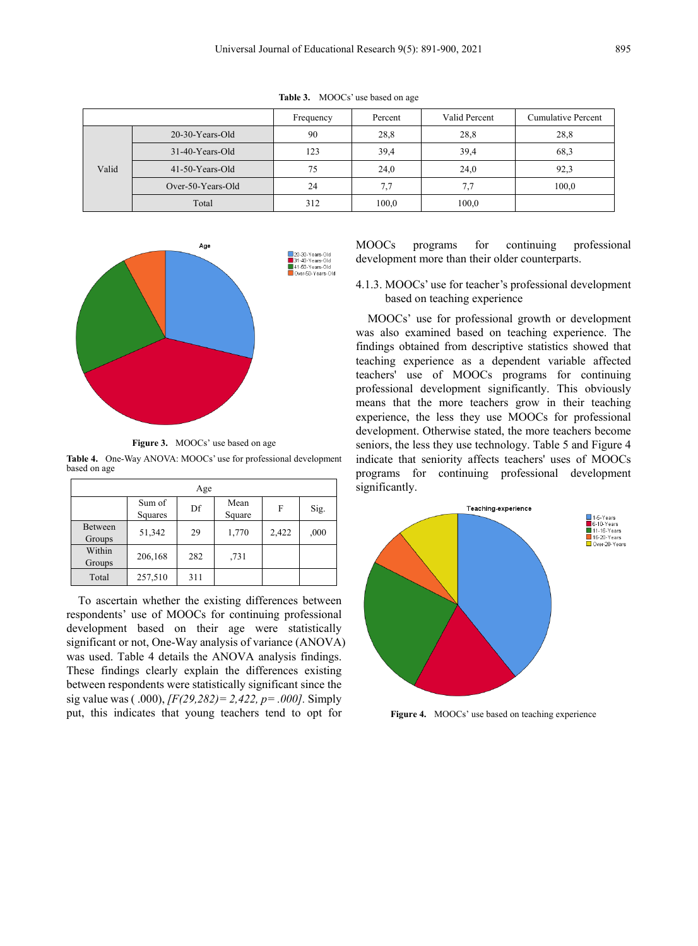|       |                    | Frequency | Percent | Valid Percent | <b>Cumulative Percent</b> |
|-------|--------------------|-----------|---------|---------------|---------------------------|
|       | $20-30-Y$ ears-Old | 90        | 28,8    | 28,8          | 28,8                      |
|       | $31-40$ -Years-Old | 123       | 39.4    | 39,4          | 68.3                      |
| Valid | 41-50-Years-Old    | 75        | 24,0    | 24,0          | 92,3                      |
|       | Over-50-Years-Old  | 24        | 7.7     | 7.7           | 100,0                     |
|       | Total              | 312       | 100,0   | 100,0         |                           |

**Table 3.** MOOCs' use based on age



**Figure 3.** MOOCs' use based on age

**Table 4.** One-Way ANOVA: MOOCs' use for professional development based on age

| Age               |                   |     |                |       |      |  |  |  |  |  |
|-------------------|-------------------|-----|----------------|-------|------|--|--|--|--|--|
|                   | Sum of<br>Squares | Df  | Mean<br>Square | F     | Sig. |  |  |  |  |  |
| Between<br>Groups | 51,342            | 29  | 1,770          | 2,422 | ,000 |  |  |  |  |  |
| Within<br>Groups  | 206,168           | 282 | ,731           |       |      |  |  |  |  |  |
| Total             | 257,510           | 311 |                |       |      |  |  |  |  |  |

To ascertain whether the existing differences between respondents' use of MOOCs for continuing professional development based on their age were statistically significant or not, One-Way analysis of variance (ANOVA) was used. Table 4 details the ANOVA analysis findings. These findings clearly explain the differences existing between respondents were statistically significant since the sig value was ( .000), *[F(29,282)= 2,422, p= .000].* Simply put, this indicates that young teachers tend to opt for

MOOCs programs for continuing professional development more than their older counterparts.

4.1.3. MOOCs' use for teacher's professional development based on teaching experience

MOOCs' use for professional growth or development was also examined based on teaching experience. The findings obtained from descriptive statistics showed that teaching experience as a dependent variable affected teachers' use of MOOCs programs for continuing professional development significantly. This obviously means that the more teachers grow in their teaching experience, the less they use MOOCs for professional development. Otherwise stated, the more teachers become seniors, the less they use technology. Table 5 and Figure 4 indicate that seniority affects teachers' uses of MOOCs programs for continuing professional development significantly.



**Figure 4.** MOOCs' use based on teaching experience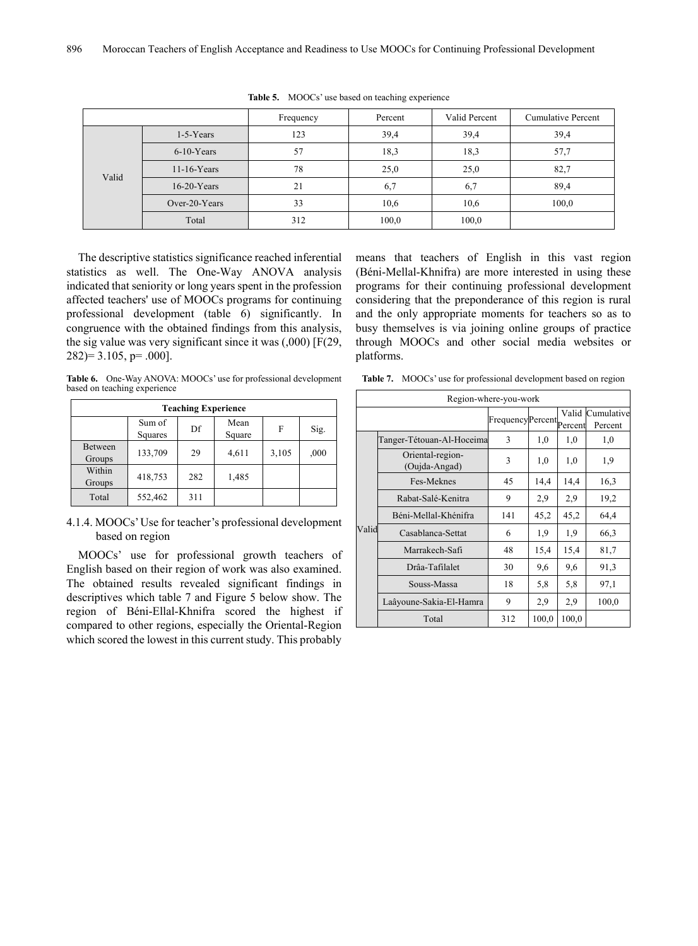|       |                | Frequency | Percent | Valid Percent | Cumulative Percent |
|-------|----------------|-----------|---------|---------------|--------------------|
|       | $1-5$ -Years   | 123       | 39,4    | 39,4          | 39,4               |
|       | $6-10$ -Years  | 57        | 18,3    | 18,3          | 57,7               |
|       | $11-16$ -Years | 78        | 25,0    | 25,0          | 82,7               |
| Valid | $16-20$ -Years | 21        | 6,7     | 6,7           | 89,4               |
|       | Over-20-Years  | 33        | 10,6    | 10,6          | 100,0              |
|       | Total          | 312       | 100,0   | 100,0         |                    |

**Table 5.** MOOCs' use based on teaching experience

The descriptive statistics significance reached inferential statistics as well. The One-Way ANOVA analysis indicated that seniority or long years spent in the profession affected teachers' use of MOOCs programs for continuing professional development (table 6) significantly. In congruence with the obtained findings from this analysis, the sig value was very significant since it was (,000) [F(29,  $282$ ) = 3.105, p = .000].

**Table 6.** One-Way ANOVA: MOOCs' use for professional development based on teaching experience

| <b>Teaching Experience</b> |                   |     |                |       |      |  |  |  |  |  |
|----------------------------|-------------------|-----|----------------|-------|------|--|--|--|--|--|
|                            | Sum of<br>Squares | Df  | Mean<br>Square | F     | Sig. |  |  |  |  |  |
| Between<br>Groups          | 133,709           | 29  | 4,611          | 3,105 | ,000 |  |  |  |  |  |
| Within<br>Groups           | 418,753           | 282 | 1,485          |       |      |  |  |  |  |  |
| Total                      | 552,462           | 311 |                |       |      |  |  |  |  |  |

4.1.4. MOOCs'Use for teacher's professional development based on region

MOOCs' use for professional growth teachers of English based on their region of work was also examined. The obtained results revealed significant findings in descriptives which table 7 and Figure 5 below show. The region of Béni-Ellal-Khnifra scored the highest if compared to other regions, especially the Oriental-Region which scored the lowest in this current study. This probably

means that teachers of English in this vast region (Béni-Mellal-Khnifra) are more interested in using these programs for their continuing professional development considering that the preponderance of this region is rural and the only appropriate moments for teachers so as to busy themselves is via joining online groups of practice through MOOCs and other social media websites or platforms.

**Table 7.** MOOCs' use for professional development based on region

|       | Region-where-you-work             |                  |       |                  |                       |  |  |  |  |
|-------|-----------------------------------|------------------|-------|------------------|-----------------------|--|--|--|--|
|       |                                   | FrequencyPercent |       | Valid<br>Percent | Cumulative<br>Percent |  |  |  |  |
|       | Tanger-Tétouan-Al-Hoceima         | 3                | 1,0   | 1,0              | 1,0                   |  |  |  |  |
|       | Oriental-region-<br>(Oujda-Angad) | 3                | 1,0   | 1,0              | 1,9                   |  |  |  |  |
|       | Fes-Meknes                        | 45               | 14,4  | 14,4             | 16,3                  |  |  |  |  |
|       | Rabat-Salé-Kenitra                | 9                | 2,9   | 2,9              | 19,2                  |  |  |  |  |
|       | Béni-Mellal-Khénifra              | 141              | 45,2  | 45,2             | 64,4                  |  |  |  |  |
| Valid | Casablanca-Settat                 | 6                | 1.9   | 1,9              | 66,3                  |  |  |  |  |
|       | Marrakech-Safi                    | 48               | 15,4  | 15,4             | 81,7                  |  |  |  |  |
|       | Drâa-Tafilalet                    | 30               | 9.6   | 9.6              | 91,3                  |  |  |  |  |
|       | Souss-Massa                       | 18               | 5,8   | 5,8              | 97,1                  |  |  |  |  |
|       | Laâyoune-Sakia-El-Hamra           | 9                | 2,9   | 2,9              | 100,0                 |  |  |  |  |
|       | Total                             | 312              | 100,0 | 100,0            |                       |  |  |  |  |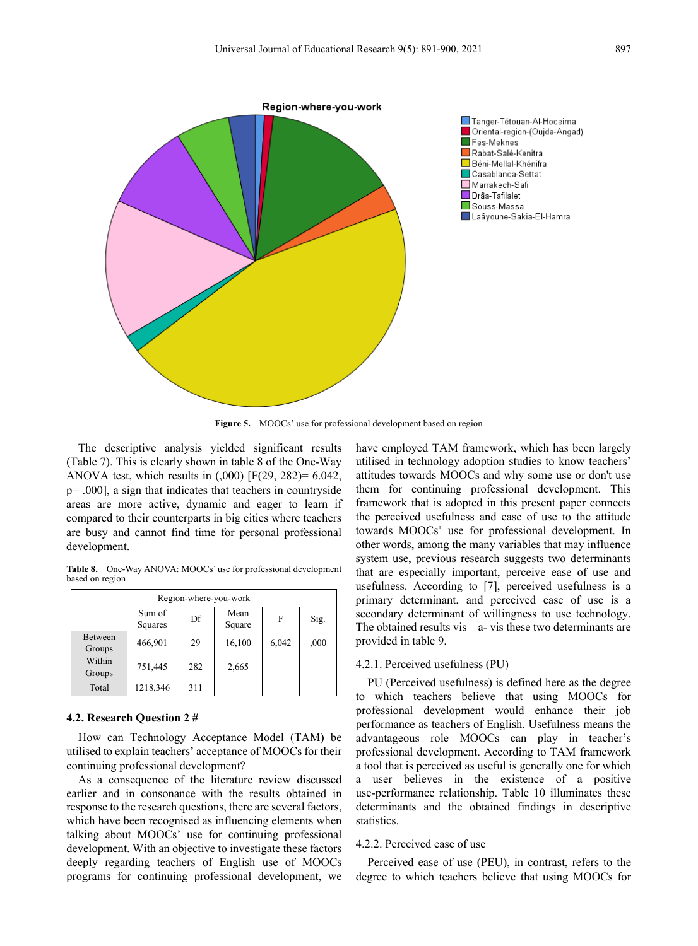

**Figure 5.** MOOCs' use for professional development based on region

The descriptive analysis yielded significant results (Table 7). This is clearly shown in table 8 of the One-Way ANOVA test, which results in  $(.000)$  [F(29, 282)= 6.042, p= .000], a sign that indicates that teachers in countryside areas are more active, dynamic and eager to learn if compared to their counterparts in big cities where teachers are busy and cannot find time for personal professional development.

**Table 8.** One-Way ANOVA: MOOCs' use for professional development based on region

| Region-where-you-work |                   |     |                |       |      |  |  |  |  |  |
|-----------------------|-------------------|-----|----------------|-------|------|--|--|--|--|--|
|                       | Sum of<br>Squares | Df  | Mean<br>Square | F     | Sig. |  |  |  |  |  |
| Between<br>Groups     | 466,901           | 29  | 16,100         | 6,042 | ,000 |  |  |  |  |  |
| Within<br>Groups      | 751,445           | 282 | 2,665          |       |      |  |  |  |  |  |
| Total                 | 1218,346          | 311 |                |       |      |  |  |  |  |  |

#### **4.2. Research Question 2 #**

How can Technology Acceptance Model (TAM) be utilised to explain teachers' acceptance of MOOCs for their continuing professional development?

As a consequence of the literature review discussed earlier and in consonance with the results obtained in response to the research questions, there are several factors, which have been recognised as influencing elements when talking about MOOCs' use for continuing professional development. With an objective to investigate these factors deeply regarding teachers of English use of MOOCs programs for continuing professional development, we

have employed TAM framework, which has been largely utilised in technology adoption studies to know teachers' attitudes towards MOOCs and why some use or don't use them for continuing professional development. This framework that is adopted in this present paper connects the perceived usefulness and ease of use to the attitude towards MOOCs' use for professional development. In other words, among the many variables that may influence system use, previous research suggests two determinants that are especially important, perceive ease of use and usefulness. According to [7], perceived usefulness is a primary determinant, and perceived ease of use is a secondary determinant of willingness to use technology. The obtained results vis  $-$  a- vis these two determinants are provided in table 9.

#### 4.2.1. Perceived usefulness (PU)

PU (Perceived usefulness) is defined here as the degree to which teachers believe that using MOOCs for professional development would enhance their job performance as teachers of English. Usefulness means the advantageous role MOOCs can play in teacher's professional development. According to TAM framework a tool that is perceived as useful is generally one for which a user believes in the existence of a positive use-performance relationship. Table 10 illuminates these determinants and the obtained findings in descriptive statistics.

#### 4.2.2. Perceived ease of use

Perceived ease of use (PEU), in contrast, refers to the degree to which teachers believe that using MOOCs for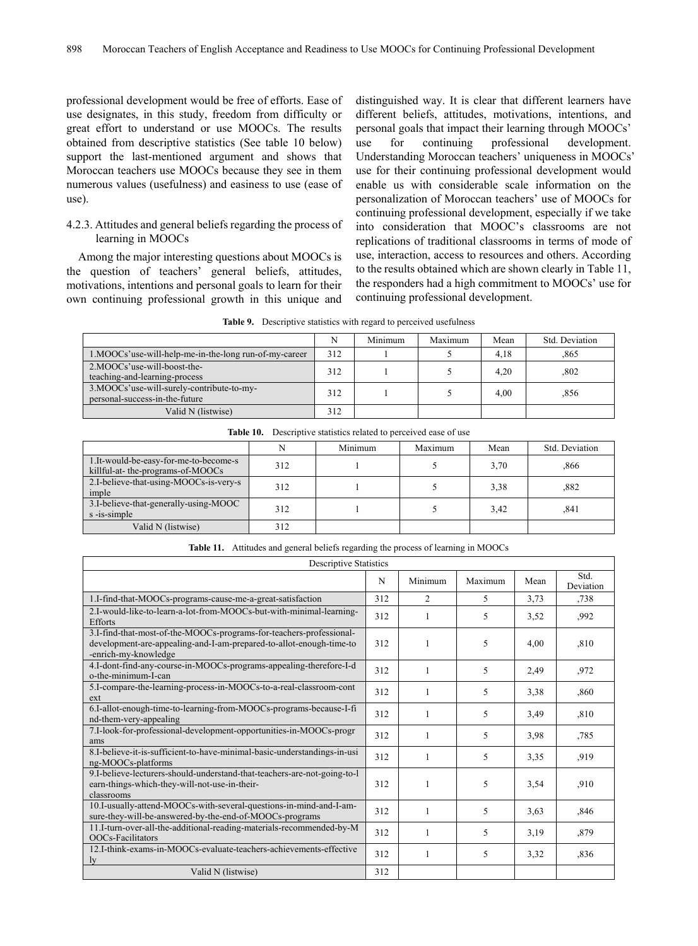professional development would be free of efforts. Ease of use designates, in this study, freedom from difficulty or great effort to understand or use MOOCs. The results obtained from descriptive statistics (See table 10 below) support the last-mentioned argument and shows that Moroccan teachers use MOOCs because they see in them numerous values (usefulness) and easiness to use (ease of use).

#### 4.2.3. Attitudes and general beliefs regarding the process of learning in MOOCs

Among the major interesting questions about MOOCs is the question of teachers' general beliefs, attitudes, motivations, intentions and personal goals to learn for their own continuing professional growth in this unique and

distinguished way. It is clear that different learners have different beliefs, attitudes, motivations, intentions, and personal goals that impact their learning through MOOCs' use for continuing professional development. Understanding Moroccan teachers' uniqueness in MOOCs' use for their continuing professional development would enable us with considerable scale information on the personalization of Moroccan teachers' use of MOOCs for continuing professional development, especially if we take into consideration that MOOC's classrooms are not replications of traditional classrooms in terms of mode of use, interaction, access to resources and others. According to the results obtained which are shown clearly in Table 11, the responders had a high commitment to MOOCs' use for continuing professional development.

|                                                                             | Ν   | Minimum | Maximum | Mean | Std. Deviation |
|-----------------------------------------------------------------------------|-----|---------|---------|------|----------------|
| 1.MOOCs'use-will-help-me-in-the-long run-of-my-career                       | 312 |         |         | 4,18 | .865           |
| 2.MOOCs'use-will-boost-the-<br>teaching-and-learning-process                | 312 |         |         | 4,20 | ,802           |
| 3.MOOCs'use-will-surely-contribute-to-my-<br>personal-success-in-the-future | 312 |         |         | 4.00 | .856           |
| Valid N (listwise)                                                          | 312 |         |         |      |                |

**Table 9.** Descriptive statistics with regard to perceived usefulness

|                                                                           |     | Minimum | Maximum | Mean | Std. Deviation |
|---------------------------------------------------------------------------|-----|---------|---------|------|----------------|
| 1.It-would-be-easy-for-me-to-become-s<br>killful-at-the-programs-of-MOOCs | 312 |         |         | 3,70 | .866           |
| 2.I-believe-that-using-MOOCs-is-very-s<br>imple                           | 312 |         |         | 3,38 | .882           |
| 3.I-believe-that-generally-using-MOOC<br>s -is-simple                     | 312 |         |         | 3.42 | .841           |
| Valid N (listwise)                                                        | 312 |         |         |      |                |

**Table 10.** Descriptive statistics related to perceived ease of use

**Table 11.** Attitudes and general beliefs regarding the process of learning in MOOCs

| <b>Descriptive Statistics</b>                                                                                                                                      |     |                |                          |      |                   |  |
|--------------------------------------------------------------------------------------------------------------------------------------------------------------------|-----|----------------|--------------------------|------|-------------------|--|
|                                                                                                                                                                    | N   | Minimum        | Maximum                  | Mean | Std.<br>Deviation |  |
| 1.I-find-that-MOOCs-programs-cause-me-a-great-satisfaction                                                                                                         | 312 | $\overline{c}$ | $\overline{\mathcal{L}}$ | 3,73 | .738              |  |
| 2.I-would-like-to-learn-a-lot-from-MOOCs-but-with-minimal-learning-<br><b>Efforts</b>                                                                              | 312 |                | 5                        | 3,52 | ,992              |  |
| 3.I-find-that-most-of-the-MOOCs-programs-for-teachers-professional-<br>development-are-appealing-and-I-am-prepared-to-allot-enough-time-to<br>-enrich-my-knowledge | 312 |                | 5                        | 4,00 | ,810              |  |
| 4.I-dont-find-any-course-in-MOOCs-programs-appealing-therefore-I-d<br>o-the-minimum-I-can                                                                          | 312 |                | 5                        | 2,49 | ,972              |  |
| 5.I-compare-the-learning-process-in-MOOCs-to-a-real-classroom-cont<br>ext                                                                                          | 312 |                | 5                        | 3,38 | ,860              |  |
| 6.I-allot-enough-time-to-learning-from-MOOCs-programs-because-I-fi<br>nd-them-very-appealing                                                                       | 312 |                | 5                        | 3.49 | ,810              |  |
| 7.I-look-for-professional-development-opportunities-in-MOOCs-progr<br>ams                                                                                          | 312 |                | 5                        | 3,98 | ,785              |  |
| 8.I-believe-it-is-sufficient-to-have-minimal-basic-understandings-in-usi<br>ng-MOOCs-platforms                                                                     | 312 |                | 5                        | 3,35 | ,919              |  |
| 9.I-believe-lecturers-should-understand-that-teachers-are-not-going-to-l<br>earn-things-which-they-will-not-use-in-their-<br>classrooms                            | 312 |                | 5                        | 3,54 | ,910              |  |
| 10.I-usually-attend-MOOCs-with-several-questions-in-mind-and-I-am-<br>sure-they-will-be-answered-by-the-end-of-MOOCs-programs                                      | 312 |                | 5                        | 3,63 | ,846              |  |
| 11.I-turn-over-all-the-additional-reading-materials-recommended-by-M<br>OOCs-Facilitators                                                                          | 312 |                | 5                        | 3,19 | ,879              |  |
| 12.I-think-exams-in-MOOCs-evaluate-teachers-achievements-effective<br><sub>1</sub>                                                                                 | 312 |                | 5                        | 3,32 | .836              |  |
| Valid N (listwise)                                                                                                                                                 | 312 |                |                          |      |                   |  |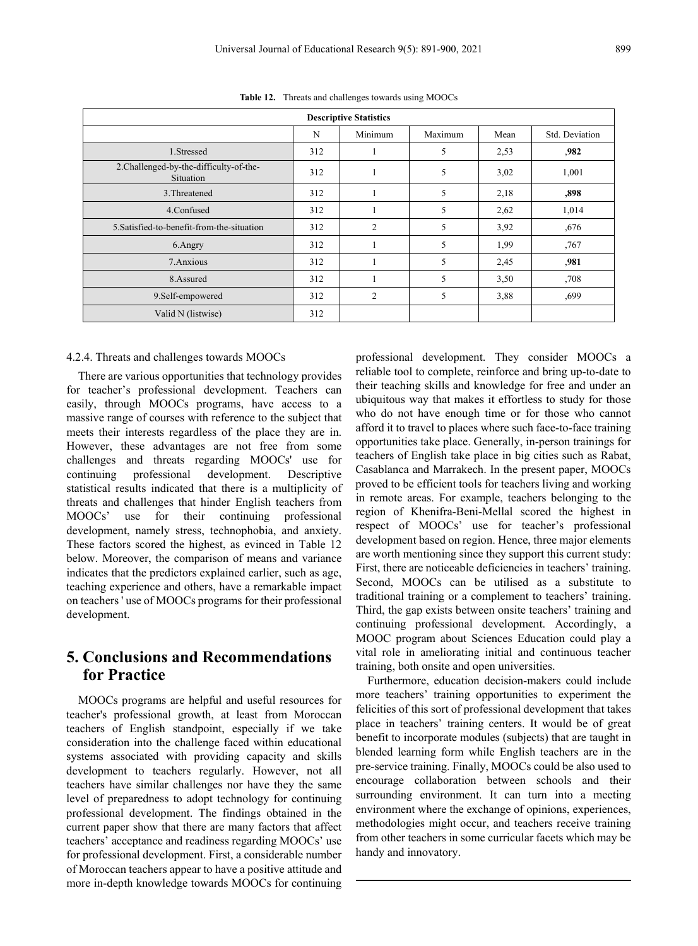**Table 12.** Threats and challenges towards using MOOCs

| <b>Descriptive Statistics</b>                               |     |         |         |      |                |  |  |  |  |
|-------------------------------------------------------------|-----|---------|---------|------|----------------|--|--|--|--|
|                                                             | N   | Minimum | Maximum | Mean | Std. Deviation |  |  |  |  |
| 1.Stressed                                                  | 312 |         | 5       | 2,53 | .982           |  |  |  |  |
| 2. Challenged-by-the-difficulty-of-the-<br><b>Situation</b> | 312 |         | 5       | 3,02 | 1,001          |  |  |  |  |
| 3. Threatened                                               | 312 |         | 5       | 2,18 | ,898           |  |  |  |  |
| 4.Confused                                                  | 312 |         | 5       | 2,62 | 1,014          |  |  |  |  |
| 5. Satisfied-to-benefit-from-the-situation                  | 312 | 2       | 5       | 3,92 | ,676           |  |  |  |  |
| 6.Angry                                                     | 312 |         | 5       | 1,99 | ,767           |  |  |  |  |
| 7. Anxious                                                  | 312 |         | 5       | 2,45 | .981           |  |  |  |  |
| 8.Assured                                                   | 312 |         | 5       | 3,50 | ,708           |  |  |  |  |
| 9.Self-empowered                                            | 312 | 2       | 5       | 3,88 | ,699           |  |  |  |  |
| Valid N (listwise)                                          | 312 |         |         |      |                |  |  |  |  |

#### 4.2.4. Threats and challenges towards MOOCs

There are various opportunities that technology provides for teacher's professional development. Teachers can easily, through MOOCs programs, have access to a massive range of courses with reference to the subject that meets their interests regardless of the place they are in. However, these advantages are not free from some challenges and threats regarding MOOCs' use for continuing professional development. Descriptive statistical results indicated that there is a multiplicity of threats and challenges that hinder English teachers from MOOCs' use for their continuing professional development, namely stress, technophobia, and anxiety. These factors scored the highest, as evinced in Table 12 below. Moreover, the comparison of means and variance indicates that the predictors explained earlier, such as age, teaching experience and others, have a remarkable impact on teachers ' use of MOOCs programs for their professional development.

## **5. Conclusions and Recommendations for Practice**

MOOCs programs are helpful and useful resources for teacher's professional growth, at least from Moroccan teachers of English standpoint, especially if we take consideration into the challenge faced within educational systems associated with providing capacity and skills development to teachers regularly. However, not all teachers have similar challenges nor have they the same level of preparedness to adopt technology for continuing professional development. The findings obtained in the current paper show that there are many factors that affect teachers' acceptance and readiness regarding MOOCs' use for professional development. First, a considerable number of Moroccan teachers appear to have a positive attitude and more in-depth knowledge towards MOOCs for continuing

professional development. They consider MOOCs a reliable tool to complete, reinforce and bring up-to-date to their teaching skills and knowledge for free and under an ubiquitous way that makes it effortless to study for those who do not have enough time or for those who cannot afford it to travel to places where such face-to-face training opportunities take place. Generally, in-person trainings for teachers of English take place in big cities such as Rabat, Casablanca and Marrakech. In the present paper, MOOCs proved to be efficient tools for teachers living and working in remote areas. For example, teachers belonging to the region of Khenifra-Beni-Mellal scored the highest in respect of MOOCs' use for teacher's professional development based on region. Hence, three major elements are worth mentioning since they support this current study: First, there are noticeable deficiencies in teachers' training. Second, MOOCs can be utilised as a substitute to traditional training or a complement to teachers' training. Third, the gap exists between onsite teachers' training and continuing professional development. Accordingly, a MOOC program about Sciences Education could play a vital role in ameliorating initial and continuous teacher training, both onsite and open universities.

Furthermore, education decision-makers could include more teachers' training opportunities to experiment the felicities of this sort of professional development that takes place in teachers' training centers. It would be of great benefit to incorporate modules (subjects) that are taught in blended learning form while English teachers are in the pre-service training. Finally, MOOCs could be also used to encourage collaboration between schools and their surrounding environment. It can turn into a meeting environment where the exchange of opinions, experiences, methodologies might occur, and teachers receive training from other teachers in some curricular facets which may be handy and innovatory.